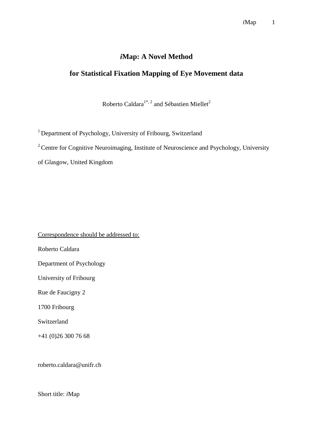# *i***Map: A Novel Method**

# **for Statistical Fixation Mapping of Eye Movement data**

Roberto Caldara<sup>1\*, 2</sup> and Sébastien Miellet<sup>2</sup>

<sup>1</sup> Department of Psychology, University of Fribourg, Switzerland

<sup>2</sup> Centre for Cognitive Neuroimaging, Institute of Neuroscience and Psychology, University

of Glasgow, United Kingdom

Correspondence should be addressed to: Roberto Caldara Department of Psychology University of Fribourg Rue de Faucigny 2 1700 Fribourg Switzerland +41 (0)26 300 76 68 roberto.caldara@unifr.ch

Short title: *i*Map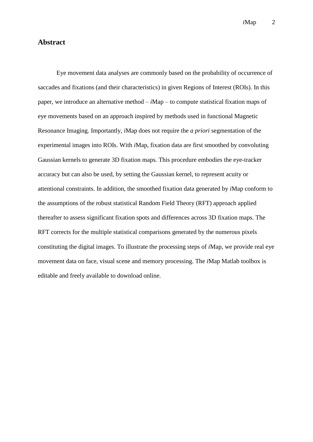# **Abstract**

Eye movement data analyses are commonly based on the probability of occurrence of saccades and fixations (and their characteristics) in given Regions of Interest (ROIs). In this paper, we introduce an alternative method – *i*Map – to compute statistical fixation maps of eye movements based on an approach inspired by methods used in functional Magnetic Resonance Imaging. Importantly, *i*Map does not require the *a priori* segmentation of the experimental images into ROIs. With *i*Map, fixation data are first smoothed by convoluting Gaussian kernels to generate 3D fixation maps. This procedure embodies the eye-tracker accuracy but can also be used, by setting the Gaussian kernel, to represent acuity or attentional constraints. In addition, the smoothed fixation data generated by *i*Map conform to the assumptions of the robust statistical Random Field Theory (RFT) approach applied thereafter to assess significant fixation spots and differences across 3D fixation maps. The RFT corrects for the multiple statistical comparisons generated by the numerous pixels constituting the digital images. To illustrate the processing steps of *i*Map, we provide real eye movement data on face, visual scene and memory processing. The *i*Map Matlab toolbox is editable and freely available to download online.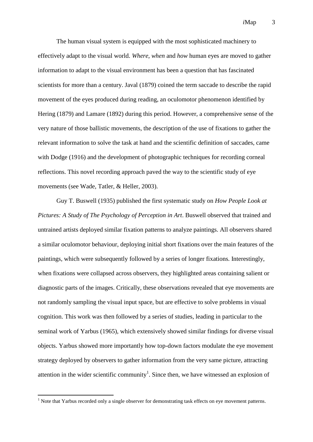The human visual system is equipped with the most sophisticated machinery to effectively adapt to the visual world. *Where*, *when* and *how* human eyes are moved to gather information to adapt to the visual environment has been a question that has fascinated scientists for more than a century. Javal [\(1879\)](#page-36-0) coined the term saccade to describe the rapid movement of the eyes produced during reading, an oculomotor phenomenon identified by Hering [\(1879\)](#page-35-0) and Lamare [\(1892\)](#page-36-1) during this period. However, a comprehensive sense of the very nature of those ballistic movements, the description of the use of fixations to gather the relevant information to solve the task at hand and the scientific definition of saccades, came with Dodge [\(1916\)](#page-35-1) and the development of photographic techniques for recording corneal reflections. This novel recording approach paved the way to the scientific study of eye movements [\(see Wade, Tatler, & Heller, 2003\)](#page-38-0).

Guy T. Buswell [\(1935\)](#page-34-0) published the first systematic study on *How People Look at Pictures: A Study of The Psychology of Perception in Art*. Buswell observed that trained and untrained artists deployed similar fixation patterns to analyze paintings. All observers shared a similar oculomotor behaviour, deploying initial short fixations over the main features of the paintings, which were subsequently followed by a series of longer fixations. Interestingly, when fixations were collapsed across observers, they highlighted areas containing salient or diagnostic parts of the images. Critically, these observations revealed that eye movements are not randomly sampling the visual input space, but are effective to solve problems in visual cognition. This work was then followed by a series of studies, leading in particular to the seminal work of Yarbus [\(1965\)](#page-39-0), which extensively showed similar findings for diverse visual objects. Yarbus showed more importantly how top-down factors modulate the eye movement strategy deployed by observers to gather information from the very same picture, attracting attention in the wider scientific community<sup>1</sup>. Since then, we have witnessed an explosion of

1

 $<sup>1</sup>$  Note that Yarbus recorded only a single observer for demonstrating task effects on eye movement patterns.</sup>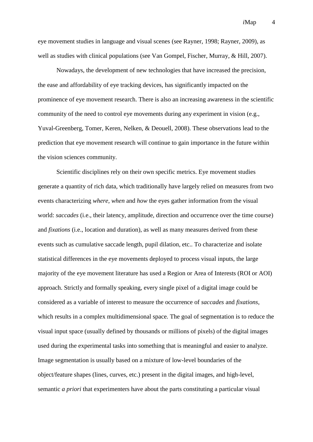eye movement studies in language and visual scenes (see [Rayner, 1998;](#page-37-0) [Rayner, 2009\)](#page-37-1), as well as studies with clinical populations [\(see Van Gompel, Fischer, Murray, & Hill, 2007\)](#page-38-1).

Nowadays, the development of new technologies that have increased the precision, the ease and affordability of eye tracking devices, has significantly impacted on the prominence of eye movement research. There is also an increasing awareness in the scientific community of the need to control eye movements during any experiment in vision [\(e.g.,](#page-39-1)  [Yuval-Greenberg, Tomer, Keren, Nelken, & Deouell, 2008\)](#page-39-1). These observations lead to the prediction that eye movement research will continue to gain importance in the future within the vision sciences community.

Scientific disciplines rely on their own specific metrics. Eye movement studies generate a quantity of rich data, which traditionally have largely relied on measures from two events characterizing *where, when* and *how* the eyes gather information from the visual world: *saccades* (i.e., their latency, amplitude, direction and occurrence over the time course) and *fixations* (i.e., location and duration), as well as many measures derived from these events such as cumulative saccade length, pupil dilation, etc.. To characterize and isolate statistical differences in the eye movements deployed to process visual inputs, the large majority of the eye movement literature has used a Region or Area of Interests (ROI or AOI) approach. Strictly and formally speaking, every single pixel of a digital image could be considered as a variable of interest to measure the occurrence of *saccades* and *fixations*, which results in a complex multidimensional space. The goal of segmentation is to reduce the visual input space (usually defined by thousands or millions of pixels) of the digital images used during the experimental tasks into something that is meaningful and easier to analyze. Image segmentation is usually based on a mixture of low-level boundaries of the object/feature shapes (lines, curves, etc.) present in the digital images, and high-level, semantic *a priori* that experimenters have about the parts constituting a particular visual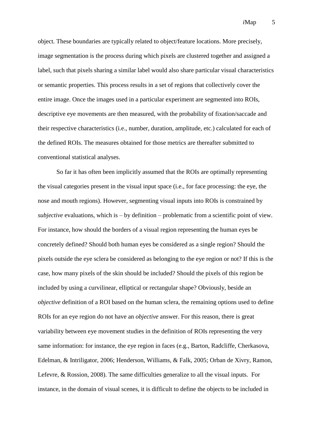object. These boundaries are typically related to object/feature locations. More precisely, image segmentation is the process during which pixels are clustered together and assigned a label, such that pixels sharing a similar label would also share particular visual characteristics or semantic properties. This process results in a set of regions that collectively cover the entire image. Once the images used in a particular experiment are segmented into ROIs, descriptive eye movements are then measured, with the probability of fixation/saccade and their respective characteristics (i.e., number, duration, amplitude, etc.) calculated for each of the defined ROIs. The measures obtained for those metrics are thereafter submitted to conventional statistical analyses.

So far it has often been implicitly assumed that the ROIs are optimally representing the visual categories present in the visual input space (i.e., for face processing: the eye, the nose and mouth regions). However, segmenting visual inputs into ROIs is constrained by *subjective* evaluations, which is – by definition – problematic from a scientific point of view. For instance, how should the borders of a visual region representing the human eyes be concretely defined? Should both human eyes be considered as a single region? Should the pixels outside the eye sclera be considered as belonging to the eye region or not? If this is the case, how many pixels of the skin should be included? Should the pixels of this region be included by using a curvilinear, elliptical or rectangular shape? Obviously, beside an *objective* definition of a ROI based on the human sclera, the remaining options used to define ROIs for an eye region do not have an *objective* answer. For this reason, there is great variability between eye movement studies in the definition of ROIs representing the very same information: for instance, the eye region in faces (e.g., [Barton, Radcliffe, Cherkasova,](#page-34-1)  [Edelman, & Intriligator, 2006;](#page-34-1) [Henderson, Williams, & Falk, 2005;](#page-35-2) [Orban de Xivry, Ramon,](#page-37-2)  [Lefevre, & Rossion, 2008\)](#page-37-2). The same difficulties generalize to all the visual inputs. For instance, in the domain of visual scenes, it is difficult to define the objects to be included in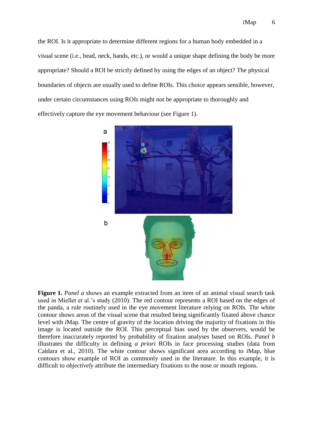the ROI. Is it appropriate to determine different regions for a human body embedded in a visual scene (i.e., head, neck, hands, etc.), or would a unique shape defining the body be more appropriate? Should a ROI be strictly defined by using the edges of an object? The physical boundaries of objects are usually used to define ROIs. This choice appears sensible, however, under certain circumstances using ROIs might not be appropriate to thoroughly and effectively capture the eye movement behaviour (see Figure 1).



**Figure 1.** *Panel a* shows an example extracted from an item of an animal visual search task used in Miellet et al.'s study [\(2010\)](#page-37-3). The red contour represents a ROI based on the edges of the panda, a rule routinely used in the eye movement literature relying on ROIs. The white contour shows areas of the visual scene that resulted being significantly fixated above chance level with *i*Map. The centre of gravity of the location driving the majority of fixations in this image is located outside the ROI. This perceptual bias used by the observers, would be therefore inaccurately reported by probability of fixation analyses based on ROIs. *Panel b* illustrates the difficulty in defining *a priori* ROIs in face processing studies (data from Caldara et al., 2010). The white contour shows significant area according to *i*Map, blue contours show example of ROI as commonly used in the literature. In this example, it is difficult to *objectively* attribute the intermediary fixations to the nose or mouth regions.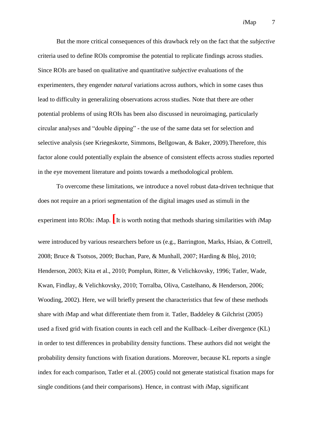But the more critical consequences of this drawback rely on the fact that the *subjective* criteria used to define ROIs compromise the potential to replicate findings across studies. Since ROIs are based on qualitative and quantitative *subjective* evaluations of the experimenters, they engender *natural* variations across authors, which in some cases thus lead to difficulty in generalizing observations across studies. Note that there are other potential problems of using ROIs has been also discussed in neuroimaging, particularly circular analyses and "double dipping" - the use of the same data set for selection and selective analysis [\(see Kriegeskorte, Simmons, Bellgowan, & Baker, 2009\)](#page-36-2).Therefore, this factor alone could potentially explain the absence of consistent effects across studies reported in the eye movement literature and points towards a methodological problem.

To overcome these limitations, we introduce a novel robust data-driven technique that does not require an a priori segmentation of the digital images used as stimuli in the experiment into ROIs: *i*Map. **[**It is worth noting that methods sharing similarities with *i*Map were introduced by various researchers before us (e.g., [Barrington, Marks, Hsiao, & Cottrell,](#page-34-2)  [2008;](#page-34-2) [Bruce & Tsotsos, 2009;](#page-34-3) [Buchan, Pare, & Munhall, 2007;](#page-34-4) [Harding & Bloj, 2010;](#page-35-3) [Henderson, 2003;](#page-35-4) [Kita et al., 2010;](#page-36-3) [Pomplun, Ritter, & Velichkovsky, 1996;](#page-37-4) [Tatler, Wade,](#page-38-2)  [Kwan, Findlay, & Velichkovsky, 2010;](#page-38-2) [Torralba, Oliva, Castelhano, & Henderson, 2006;](#page-38-3) [Wooding, 2002\)](#page-39-2). Here, we will briefly present the characteristics that few of these methods share with *i*Map and what differentiate them from it. Tatler, Baddeley & Gilchrist [\(2005\)](#page-38-4) used a fixed grid with fixation counts in each cell and the Kullback–Leiber divergence (KL) in order to test differences in probability density functions. These authors did not weight the probability density functions with fixation durations. Moreover, because KL reports a single index for each comparison, Tatler et al. (2005) could not generate statistical fixation maps for single conditions (and their comparisons). Hence, in contrast with *i*Map, significant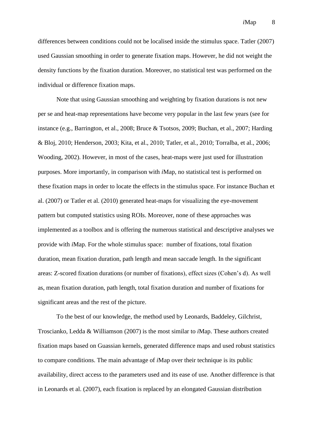differences between conditions could not be localised inside the stimulus space. Tatler [\(2007\)](#page-38-5) used Gaussian smoothing in order to generate fixation maps. However, he did not weight the density functions by the fixation duration. Moreover, no statistical test was performed on the individual or difference fixation maps.

Note that using Gaussian smoothing and weighting by fixation durations is not new per se and heat-map representations have become very popular in the last few years (see for instance (e.g., [Barrington, et al., 2008;](#page-34-2) [Bruce & Tsotsos, 2009;](#page-34-3) [Buchan, et al., 2007;](#page-34-4) [Harding](#page-35-3)  [& Bloj, 2010;](#page-35-3) [Henderson, 2003;](#page-35-4) Kita, et [al., 2010;](#page-36-3) [Tatler, et al., 2010;](#page-38-2) [Torralba, et al., 2006;](#page-38-3) [Wooding, 2002\)](#page-39-2). However, in most of the cases, heat-maps were just used for illustration purposes. More importantly, in comparison with *i*Map, no statistical test is performed on these fixation maps in order to locate the effects in the stimulus space. For instance Buchan et al. (2007) or Tatler et al. (2010) generated heat-maps for visualizing the eye-movement pattern but computed statistics using ROIs. Moreover, none of these approaches was implemented as a toolbox and is offering the numerous statistical and descriptive analyses we provide with *i*Map. For the whole stimulus space: number of fixations, total fixation duration, mean fixation duration, path length and mean saccade length. In the significant areas: Z-scored fixation durations (or number of fixations), effect sizes (Cohen's d). As well as, mean fixation duration, path length, total fixation duration and number of fixations for significant areas and the rest of the picture.

To the best of our knowledge, the method used by Leonards, Baddeley, Gilchrist, Troscianko, Ledda & Williamson [\(2007\)](#page-36-4) is the most similar to *i*Map. These authors created fixation maps based on Guassian kernels, generated difference maps and used robust statistics to compare conditions. The main advantage of *i*Map over their technique is its public availability, direct access to the parameters used and its ease of use. Another difference is that in Leonards et al. (2007), each fixation is replaced by an elongated Gaussian distribution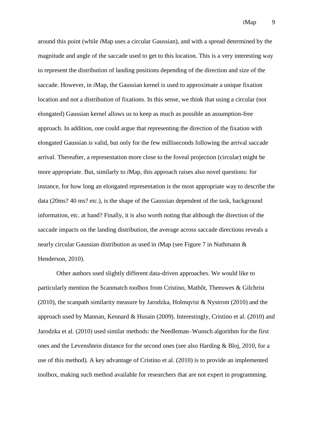around this point (while *i*Map uses a circular Gaussian), and with a spread determined by the magnitude and angle of the saccade used to get to this location. This is a very interesting way to represent the distribution of landing positions depending of the direction and size of the saccade. However, in *i*Map, the Gaussian kernel is used to approximate a unique fixation location and not a distribution of fixations. In this sense, we think that using a circular (not elongated) Gaussian kernel allows us to keep as much as possible an assumption-free approach. In addition, one could argue that representing the direction of the fixation with elongated Gaussian is valid, but only for the few milliseconds following the arrival saccade arrival. Thereafter, a representation more close to the foveal projection (circular) might be more appropriate. But, similarly to *i*Map, this approach raises also novel questions: for instance, for how long an elongated representation is the most appropriate way to describe the data (20ms? 40 ms? etc.), is the shape of the Gaussian dependent of the task, background information, etc. at hand? Finally, it is also worth noting that although the direction of the saccade impacts on the landing distribution, the average across saccade directions reveals a nearly circular Gaussian distribution as used in *i*Map [\(see Figure 7 in Nuthmann &](#page-37-5) [Henderson, 2010\)](#page-37-5).

Other authors used slightly different data-driven approaches. We would like to particularly mention the Scanmatch toolbox from Cristino, Mathôt, Theeuwes & Gilchrist [\(2010\)](#page-35-5), the scanpath similarity measure by Jarodzka, Holmqvist & Nystrom [\(2010\)](#page-36-5) and the approach used by Mannan, Kennard & Husain [\(2009\)](#page-36-6). Interestingly, Cristino et al. (2010) and Jarodzka et al. (2010) used similar methods: the Needleman–Wunsch algorithm for the first ones and the Levenshtein distance for the second ones (see also Harding & Bloj, 2010, for a use of this method). A key advantage of Cristino et al. (2010) is to provide an implemented toolbox, making such method available for researchers that are not expert in programming.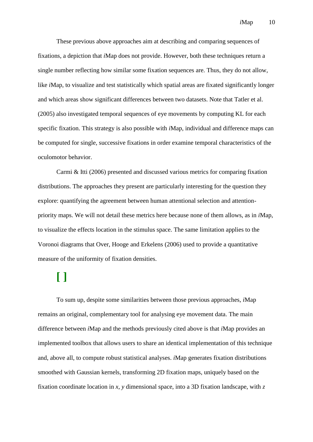These previous above approaches aim at describing and comparing sequences of fixations, a depiction that *i*Map does not provide. However, both these techniques return a single number reflecting how similar some fixation sequences are. Thus, they do not allow, like *i*Map, to visualize and test statistically which spatial areas are fixated significantly longer and which areas show significant differences between two datasets. Note that Tatler et al. (2005) also investigated temporal sequences of eye movements by computing KL for each specific fixation. This strategy is also possible with *i*Map, individual and difference maps can be computed for single, successive fixations in order examine temporal characteristics of the oculomotor behavior.

Carmi & Itti [\(2006\)](#page-35-6) presented and discussed various metrics for comparing fixation distributions. The approaches they present are particularly interesting for the question they explore: quantifying the agreement between human attentional selection and attentionpriority maps. We will not detail these metrics here because none of them allows, as in *i*Map, to visualize the effects location in the stimulus space. The same limitation applies to the Voronoi diagrams that Over, Hooge and Erkelens [\(2006\)](#page-37-6) used to provide a quantitative measure of the uniformity of fixation densities.

# **[ ]**

To sum up, despite some similarities between those previous approaches, *i*Map remains an original, complementary tool for analysing eye movement data. The main difference between *i*Map and the methods previously cited above is that *i*Map provides an implemented toolbox that allows users to share an identical implementation of this technique and, above all, to compute robust statistical analyses. *i*Map generates fixation distributions smoothed with Gaussian kernels, transforming 2D fixation maps, uniquely based on the fixation coordinate location in *x, y* dimensional space, into a 3D fixation landscape, with *z*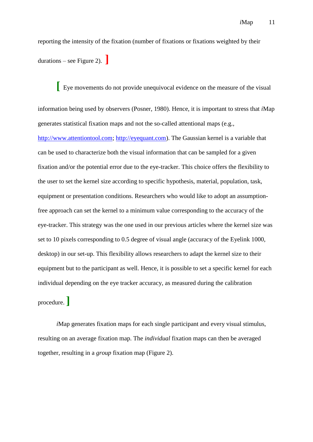reporting the intensity of the fixation (number of fixations or fixations weighted by their durations – see Figure 2).

**[** Eye movements do not provide unequivocal evidence on the measure of the visual information being used by observers [\(Posner, 1980\)](#page-37-7). Hence, it is important to stress that *i*Map generates statistical fixation maps and not the so-called attentional maps (e.g., [http://www.attentiontool.com;](http://www.attentiontool.com/) http://eyequant.com). The Gaussian kernel is a variable that can be used to characterize both the visual information that can be sampled for a given fixation and/or the potential error due to the eye-tracker. This choice offers the flexibility to the user to set the kernel size according to specific hypothesis, material, population, task, equipment or presentation conditions. Researchers who would like to adopt an assumptionfree approach can set the kernel to a minimum value corresponding to the accuracy of the eye-tracker. This strategy was the one used in our previous articles where the kernel size was set to 10 pixels corresponding to 0.5 degree of visual angle (accuracy of the Eyelink 1000, desktop) in our set-up. This flexibility allows researchers to adapt the kernel size to their equipment but to the participant as well. Hence, it is possible to set a specific kernel for each individual depending on the eye tracker accuracy, as measured during the calibration

procedure.**]**

*i*Map generates fixation maps for each single participant and every visual stimulus, resulting on an average fixation map. The *individual* fixation maps can then be averaged together, resulting in a *group* fixation map (Figure 2).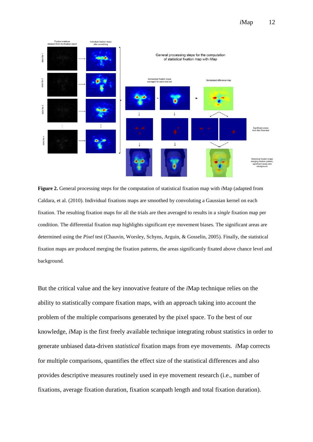

**Figure 2.** General processing steps for the computation of statistical fixation map with *i*Map (adapted from Caldara, et al. [\(2010\)](#page-35-7). Individual fixations maps are smoothed by convoluting a Gaussian kernel on each fixation. The resulting fixation maps for all the trials are then averaged to results in a *single* fixation map per condition. The differential fixation map highlights significant eye movement biases. The significant areas are determined using the *Pixel* test [\(Chauvin, Worsley, Schyns, Arguin, & Gosselin, 2005\)](#page-35-8). Finally, the statistical fixation maps are produced merging the fixation patterns, the areas significantly fixated above chance level and background.

But the critical value and the key innovative feature of the *i*Map technique relies on the ability to statistically compare fixation maps, with an approach taking into account the problem of the multiple comparisons generated by the pixel space. To the best of our knowledge, *i*Map is the first freely available technique integrating robust statistics in order to generate unbiased data-driven *statistical* fixation maps from eye movements. *i*Map corrects for multiple comparisons, quantifies the effect size of the statistical differences and also provides descriptive measures routinely used in eye movement research (i.e., number of fixations, average fixation duration, fixation scanpath length and total fixation duration).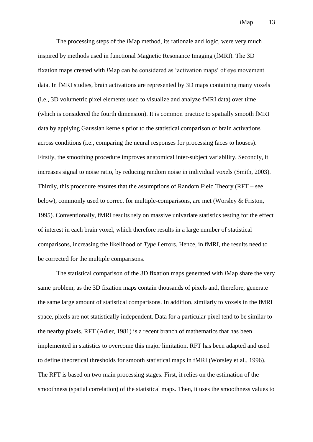The processing steps of the *i*Map method, its rationale and logic, were very much inspired by methods used in functional Magnetic Resonance Imaging (fMRI). The 3D fixation maps created with *i*Map can be considered as 'activation maps' of eye movement data. In fMRI studies, brain activations are represented by 3D maps containing many voxels (i.e., 3D volumetric pixel elements used to visualize and analyze fMRI data) over time (which is considered the fourth dimension). It is common practice to spatially smooth fMRI data by applying Gaussian kernels prior to the statistical comparison of brain activations across conditions (i.e., comparing the neural responses for processing faces to houses). Firstly, the smoothing procedure improves anatomical inter-subject variability. Secondly, it increases signal to noise ratio, by reducing random noise in individual voxels [\(Smith, 2003\)](#page-38-6). Thirdly, this procedure ensures that the assumptions of Random Field Theory (RFT – see below), commonly used to correct for multiple-comparisons, are met [\(Worsley & Friston,](#page-39-3)  [1995\)](#page-39-3). Conventionally, fMRI results rely on massive univariate statistics testing for the effect of interest in each brain voxel, which therefore results in a large number of statistical comparisons, increasing the likelihood of *Type I* errors. Hence, in fMRI, the results need to be corrected for the multiple comparisons.

The statistical comparison of the 3D fixation maps generated with *i*Map share the very same problem, as the 3D fixation maps contain thousands of pixels and, therefore, generate the same large amount of statistical comparisons. In addition, similarly to voxels in the fMRI space, pixels are not statistically independent. Data for a particular pixel tend to be similar to the nearby pixels. RFT [\(Adler, 1981\)](#page-34-5) is a recent branch of mathematics that has been implemented in statistics to overcome this major limitation. RFT has been adapted and used to define theoretical thresholds for smooth statistical maps in fMRI [\(Worsley et al., 1996\)](#page-39-4). The RFT is based on two main processing stages. First, it relies on the estimation of the smoothness (spatial correlation) of the statistical maps. Then, it uses the smoothness values to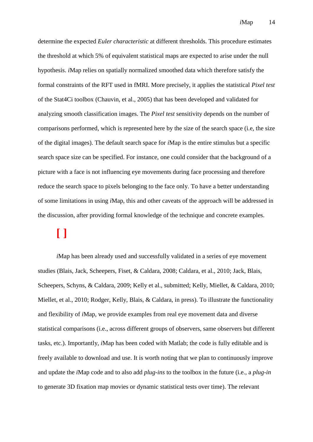determine the expected *Euler characteristic* at different thresholds. This procedure estimates the threshold at which 5% of equivalent statistical maps are expected to arise under the null hypothesis. *i*Map relies on spatially normalized smoothed data which therefore satisfy the formal constraints of the RFT used in fMRI. More precisely, it applies the statistical *Pixel test*  of the Stat4Ci toolbox [\(Chauvin, et al., 2005\)](#page-35-8) that has been developed and validated for analyzing smooth classification images. The *Pixel test* sensitivity depends on the number of comparisons performed, which is represented here by the size of the search space (i.e, the size of the digital images). The default search space for *i*Map is the entire stimulus but a specific search space size can be specified. For instance, one could consider that the background of a picture with a face is not influencing eye movements during face processing and therefore reduce the search space to pixels belonging to the face only. To have a better understanding of some limitations in using *i*Map, this and other caveats of the approach will be addressed in the discussion, after providing formal knowledge of the technique and concrete examples.

# **[ ]**

*i*Map has been already used and successfully validated in a series of eye movement studies [\(Blais, Jack, Scheepers, Fiset, & Caldara, 2008;](#page-34-6) [Caldara, et al., 2010;](#page-35-7) [Jack, Blais,](#page-36-7)  [Scheepers, Schyns, & Caldara, 2009;](#page-36-7) [Kelly et al., submitted;](#page-36-8) [Kelly, Miellet, & Caldara, 2010;](#page-36-9) [Miellet, et al., 2010;](#page-37-3) [Rodger, Kelly, Blais, & Caldara, in press\)](#page-37-8). To illustrate the functionality and flexibility of *i*Map, we provide examples from real eye movement data and diverse statistical comparisons (i.e., across different groups of observers, same observers but different tasks, etc.). Importantly, *i*Map has been coded with Matlab; the code is fully editable and is freely available to download and use. It is worth noting that we plan to continuously improve and update the *i*Map code and to also add *plug-ins* to the toolbox in the future (i.e., a *plug-in*  to generate 3D fixation map movies or dynamic statistical tests over time). The relevant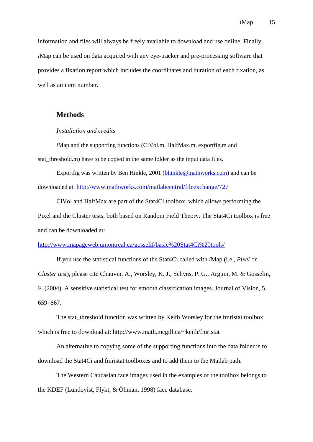information and files will always be freely available to download and use online. Finally, *i*Map can be used on data acquired with any eye-tracker and pre-processing software that provides a fixation report which includes the coordinates and duration of each fixation, as well as an item number.

# **Methods**

*Installation and credits*

*i*Map and the supporting functions (CiVol.m, HalfMax.m, exportfig.m and stat threshold.m) have to be copied in the same folder as the input data files.

Exportfig was written by Ben Hinkle, 2001 [\(bhinkle@mathworks.com\)](mailto:bhinkle@mathworks.com) and can be downloaded at: <http://www.mathworks.com/matlabcentral/fileexchange/727>

CiVol and HalfMax are part of the Stat4Ci toolbox, which allows performing the Pixel and the Cluster tests, both based on Random Field Theory. The Stat4Ci toolbox is free and can be downloaded at:

#### <http://www.mapageweb.umontreal.ca/gosselif/basic%20Stat4Ci%20tools/>

If you use the statistical functions of the Stat4Ci called with *i*Map (i.e., *Pixel* or *Cluster test*), please cite Chauvin, A., Worsley, K. J., Schyns, P. G., Arguin, M. & Gosselin, F. (2004). A sensitive statistical test for smooth classification images. Journal of Vision, 5, 659–667.

The stat\_threshold function was written by Keith Worsley for the fmristat toolbox which is free to download at: http://www.math.mcgill.ca/~keith/fmristat

An alternative to copying some of the supporting functions into the data folder is to download the Stat4Ci and fmristat toolboxes and to add them to the Matlab path.

The Western Caucasian face images used in the examples of the toolbox belongs to the KDEF [\(Lundqvist, Flykt, & Öhman, 1998\)](#page-36-10) face database.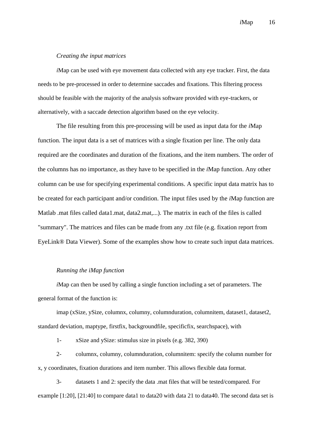#### *Creating the input matrices*

*i*Map can be used with eye movement data collected with any eye tracker. First, the data needs to be pre-processed in order to determine saccades and fixations. This filtering process should be feasible with the majority of the analysis software provided with eye-trackers, or alternatively, with a saccade detection algorithm based on the eye velocity.

The file resulting from this pre-processing will be used as input data for the *i*Map function. The input data is a set of matrices with a single fixation per line. The only data required are the coordinates and duration of the fixations, and the item numbers. The order of the columns has no importance, as they have to be specified in the *i*Map function. Any other column can be use for specifying experimental conditions. A specific input data matrix has to be created for each participant and/or condition. The input files used by the *i*Map function are Matlab .mat files called data1.mat, data2.mat,...). The matrix in each of the files is called "summary". The matrices and files can be made from any .txt file (e.g. fixation report from EyeLink® Data Viewer). Some of the examples show how to create such input data matrices.

#### *Running the iMap function*

*i*Map can then be used by calling a single function including a set of parameters. The general format of the function is:

imap (xSize, ySize, columnx, columny, columnduration, columnitem, dataset1, dataset2, standard deviation, maptype, firstfix, backgroundfile, specificfix, searchspace), with

1- xSize and ySize: stimulus size in pixels (e.g. 382, 390)

2- columnx, columny, columnduration, columnitem: specify the column number for x, y coordinates, fixation durations and item number. This allows flexible data format.

3- datasets 1 and 2: specify the data .mat files that will be tested/compared. For example [1:20], [21:40] to compare data1 to data20 with data 21 to data40. The second data set is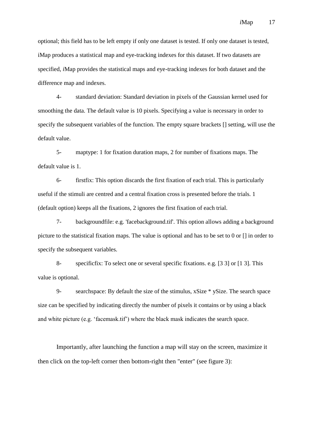optional; this field has to be left empty if only one dataset is tested. If only one dataset is tested, iMap produces a statistical map and eye-tracking indexes for this dataset. If two datasets are specified, *i*Map provides the statistical maps and eye-tracking indexes for both dataset and the difference map and indexes.

4- standard deviation: Standard deviation in pixels of the Gaussian kernel used for smoothing the data. The default value is 10 pixels. Specifying a value is necessary in order to specify the subsequent variables of the function. The empty square brackets [] setting, will use the default value.

5- maptype: 1 for fixation duration maps, 2 for number of fixations maps. The default value is 1.

6- firstfix: This option discards the first fixation of each trial. This is particularly useful if the stimuli are centred and a central fixation cross is presented before the trials. 1 (default option) keeps all the fixations, 2 ignores the first fixation of each trial.

7- backgroundfile: e.g. 'facebackground.tif'. This option allows adding a background picture to the statistical fixation maps. The value is optional and has to be set to 0 or [] in order to specify the subsequent variables.

8- specificfix: To select one or several specific fixations. e.g. [3 3] or [1 3]. This value is optional.

9- searchspace: By default the size of the stimulus, xSize \* ySize. The search space size can be specified by indicating directly the number of pixels it contains or by using a black and white picture (e.g. 'facemask.tif') where the black mask indicates the search space.

Importantly, after launching the function a map will stay on the screen, maximize it then click on the top-left corner then bottom-right then "enter" (see figure 3):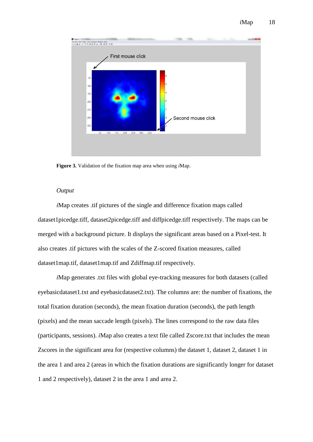

**Figure 3.** Validation of the fixation map area when using *i*Map.

#### *Output*

*i*Map creates .tif pictures of the single and difference fixation maps called dataset1picedge.tiff, dataset2picedge.tiff and diffpicedge.tiff respectively. The maps can be merged with a background picture. It displays the significant areas based on a Pixel-test. It also creates .tif pictures with the scales of the Z-scored fixation measures, called dataset1map.tif, dataset1map.tif and Zdiffmap.tif respectively.

*i*Map generates .txt files with global eye-tracking measures for both datasets (called eyebasicdataset1.txt and eyebasicdataset2.txt). The columns are: the number of fixations, the total fixation duration (seconds), the mean fixation duration (seconds), the path length (pixels) and the mean saccade length (pixels). The lines correspond to the raw data files (participants, sessions). *i*Map also creates a text file called Zscore.txt that includes the mean Zscores in the significant area for (respective columns) the dataset 1, dataset 2, dataset 1 in the area 1 and area 2 (areas in which the fixation durations are significantly longer for dataset 1 and 2 respectively), dataset 2 in the area 1 and area 2.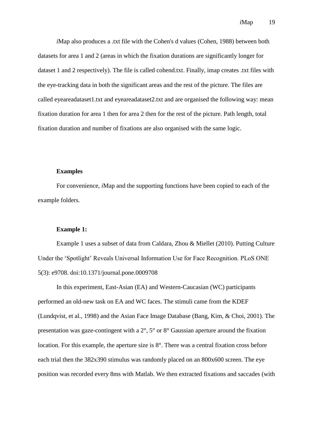*i*Map also produces a .txt file with the Cohen's d values [\(Cohen, 1988\)](#page-35-9) between both datasets for area 1 and 2 (areas in which the fixation durations are significantly longer for dataset 1 and 2 respectively). The file is called cohend.txt. Finally, imap creates .txt files with the eye-tracking data in both the significant areas and the rest of the picture. The files are called eyeareadataset1.txt and eyeareadataset2.txt and are organised the following way: mean fixation duration for area 1 then for area 2 then for the rest of the picture. Path length, total fixation duration and number of fixations are also organised with the same logic.

### **Examples**

For convenience, *i*Map and the supporting functions have been copied to each of the example folders.

# **Example 1:**

Example 1 uses a subset of data from Caldara, Zhou & Miellet (2010). Putting Culture Under the 'Spotlight' Reveals Universal Information Use for Face Recognition. PLoS ONE 5(3): e9708. doi:10.1371/journal.pone.0009708

In this experiment, East-Asian (EA) and Western-Caucasian (WC) participants performed an old-new task on EA and WC faces. The stimuli came from the KDEF [\(Lundqvist, et al., 1998\)](#page-36-10) and the Asian Face Image Database [\(Bang, Kim, & Choi, 2001\)](#page-34-7). The presentation was gaze-contingent with a 2°, 5° or 8° Gaussian aperture around the fixation location. For this example, the aperture size is 8°. There was a central fixation cross before each trial then the 382x390 stimulus was randomly placed on an 800x600 screen. The eye position was recorded every 8ms with Matlab. We then extracted fixations and saccades (with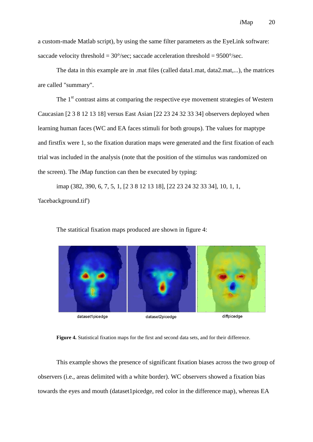a custom-made Matlab script), by using the same filter parameters as the EyeLink software: saccade velocity threshold =  $30^{\circ}/sec$ ; saccade acceleration threshold =  $9500^{\circ}/sec$ .

The data in this example are in .mat files (called data1.mat, data2.mat,...), the matrices are called "summary".

The 1<sup>st</sup> contrast aims at comparing the respective eye movement strategies of Western Caucasian [2 3 8 12 13 18] versus East Asian [22 23 24 32 33 34] observers deployed when learning human faces (WC and EA faces stimuli for both groups). The values for maptype and firstfix were 1, so the fixation duration maps were generated and the first fixation of each trial was included in the analysis (note that the position of the stimulus was randomized on the screen). The *i*Map function can then be executed by typing:

imap (382, 390, 6, 7, 5, 1, [2 3 8 12 13 18], [22 23 24 32 33 34], 10, 1, 1, 'facebackground.tif')

dataset1picedge dataset2picedge diffpicedge

The statitical fixation maps produced are shown in figure 4:

**Figure 4.** Statistical fixation maps for the first and second data sets, and for their difference.

This example shows the presence of significant fixation biases across the two group of observers (i.e., areas delimited with a white border). WC observers showed a fixation bias towards the eyes and mouth (dataset1picedge, red color in the difference map), whereas EA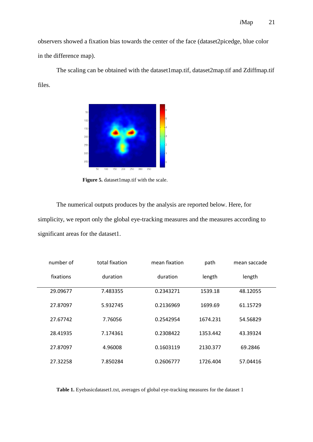observers showed a fixation bias towards the center of the face (dataset2picedge, blue color in the difference map).

The scaling can be obtained with the dataset1map.tif, dataset2map.tif and Zdiffmap.tif files.



Figure 5. dataset1map.tif with the scale.

The numerical outputs produces by the analysis are reported below. Here, for simplicity, we report only the global eye-tracking measures and the measures according to significant areas for the dataset1.

| number of | total fixation | mean fixation | path     | mean saccade |
|-----------|----------------|---------------|----------|--------------|
| fixations | duration       | duration      | length   | length       |
| 29.09677  | 7.483355       | 0.2343271     | 1539.18  | 48.12055     |
| 27.87097  | 5.932745       | 0.2136969     | 1699.69  | 61.15729     |
| 27.67742  | 7.76056        | 0.2542954     | 1674.231 | 54.56829     |
| 28.41935  | 7.174361       | 0.2308422     | 1353.442 | 43.39324     |
| 27.87097  | 4.96008        | 0.1603119     | 2130.377 | 69.2846      |
| 27.32258  | 7.850284       | 0.2606777     | 1726.404 | 57.04416     |

Table 1. Eyebasicdataset1.txt, averages of global eye-tracking measures for the dataset 1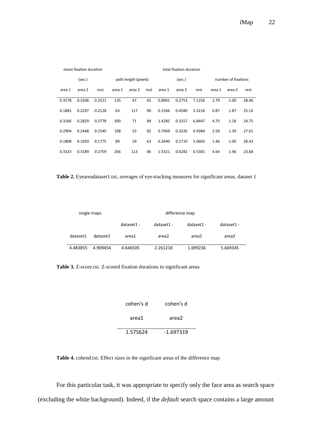| mean fixation duration |        |        | total fixation duration |                      |      |        |        |        |        |                     |       |
|------------------------|--------|--------|-------------------------|----------------------|------|--------|--------|--------|--------|---------------------|-------|
|                        | (sec.) |        |                         | path length (pixels) |      |        | (sec.) |        |        | number of fixations |       |
| area 1                 | area 2 | rest   | area 1                  | area 2               | rest | area 1 | area 2 | rest   | area 1 | area 2              | rest  |
| 0.3178                 | 0.2506 | 0.2521 | 135                     | 47                   | 65   | 0.8901 | 0.2753 | 7.1256 | 2.79   | 1.00                | 28.46 |
| 0.1881                 | 0.2297 | 0.2128 | 63                      | 117                  | 90   | 0.1566 | 0.4580 | 5.3216 | 0.87   | 1.87                | 25.16 |
| 0.3166                 | 0.2829 | 0.2778 | 300                     | 71                   | 89   | 1.4285 | 0.3257 | 6.8447 | 4.75   | 1.18                | 24.75 |
| 0.2904                 | 0.2448 | 0.2540 | 108                     | 53                   | 82   | 0.7069 | 0.3226 | 6.9384 | 2.50   | 1.39                | 27.61 |
| 0.1808                 | 0.1693 | 0.1775 | 89                      | 59                   | 63   | 0.2640 | 0.1710 | 5.0603 | 1.46   | 1.00                | 28.43 |
| 0.3323                 | 0.3189 | 0.2759 | 266                     | 113                  | 86   | 1.5321 | 0.6282 | 6.5381 | 4.64   | 1.96                | 23.68 |

**Table 2.** Eyeareadataset1.txt, averages of eye-tracking measures for significant areas, dataset 1

| single maps |          | difference map |            |            |            |  |
|-------------|----------|----------------|------------|------------|------------|--|
|             |          | dataset1 -     | dataset1 - | dataset1 - | dataset1 - |  |
| dataset1    | dataset2 | area1          | area2      | area1      | area2      |  |
| 4.483855    | 4.909454 | 4.646505       | 2.261218   | 1.699236   | 5.669345   |  |

**Table 3.** Z-score.txt. Z-scored fixation durations in significant areas

| cohen's d | cohen's d |
|-----------|-----------|
| area1     | area2     |
| 1.575624  | -1.697319 |

**Table 4.** cohend.txt. Effect sizes in the significant areas of the difference map

For this particular task, it was appropriate to specify only the face area as search space (excluding the white background). Indeed, if the *default* search space contains a large amount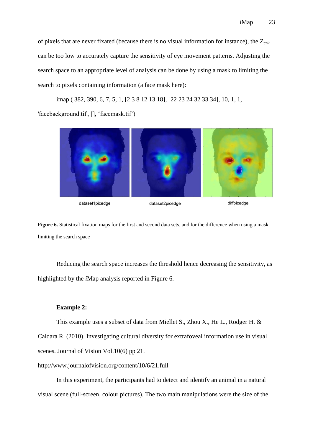of pixels that are never fixated (because there is no visual information for instance), the Z*crit* can be too low to accurately capture the sensitivity of eye movement patterns. Adjusting the search space to an appropriate level of analysis can be done by using a mask to limiting the search to pixels containing information (a face mask here):

imap ( 382, 390, 6, 7, 5, 1, [2 3 8 12 13 18], [22 23 24 32 33 34], 10, 1, 1, 'facebackground.tif', [], 'facemask.tif')



dataset1picedge

dataset2picedge

diffpicedge

**Figure 6.** Statistical fixation maps for the first and second data sets, and for the difference when using a mask limiting the search space

Reducing the search space increases the threshold hence decreasing the sensitivity, as highlighted by the *i*Map analysis reported in Figure 6.

#### **Example 2:**

This example uses a subset of data from Miellet S., Zhou X., He L., Rodger H. & Caldara R. (2010). Investigating cultural diversity for extrafoveal information use in visual scenes. Journal of Vision Vol.10(6) pp 21.

http://www.journalofvision.org/content/10/6/21.full

In this experiment, the participants had to detect and identify an animal in a natural visual scene (full-screen, colour pictures). The two main manipulations were the size of the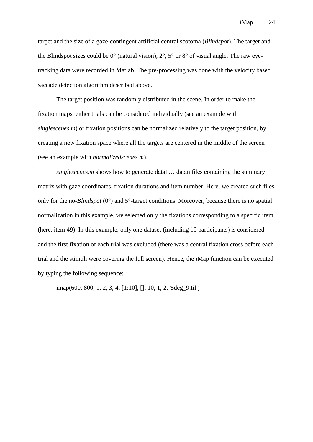target and the size of a gaze-contingent artificial central scotoma (*Blindspot*). The target and the Blindspot sizes could be  $0^{\circ}$  (natural vision),  $2^{\circ}$ ,  $5^{\circ}$  or  $8^{\circ}$  of visual angle. The raw eyetracking data were recorded in Matlab. The pre-processing was done with the velocity based saccade detection algorithm described above.

The target position was randomly distributed in the scene. In order to make the fixation maps, either trials can be considered individually (see an example with *singlescenes.m*) or fixation positions can be normalized relatively to the target position, by creating a new fixation space where all the targets are centered in the middle of the screen (see an example with *normalizedscenes.m*).

*singlescenes.m* shows how to generate data1… datan files containing the summary matrix with gaze coordinates, fixation durations and item number. Here, we created such files only for the no-*Blindspot* (0°) and 5°-target conditions. Moreover, because there is no spatial normalization in this example, we selected only the fixations corresponding to a specific item (here, item 49). In this example, only one dataset (including 10 participants) is considered and the first fixation of each trial was excluded (there was a central fixation cross before each trial and the stimuli were covering the full screen). Hence, the *i*Map function can be executed by typing the following sequence:

imap(600, 800, 1, 2, 3, 4, [1:10], [], 10, 1, 2, '5deg\_9.tif')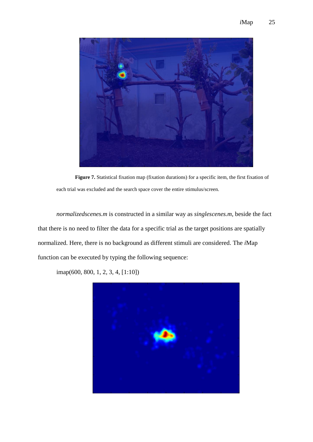

**Figure 7.** Statistical fixation map (fixation durations) for a specific item, the first fixation of each trial was excluded and the search space cover the entire stimulus/screen.

*normalizedscenes.m* is constructed in a similar way as *singlescenes.m*, beside the fact that there is no need to filter the data for a specific trial as the target positions are spatially normalized. Here, there is no background as different stimuli are considered. The *i*Map function can be executed by typing the following sequence:

imap(600, 800, 1, 2, 3, 4, [1:10])

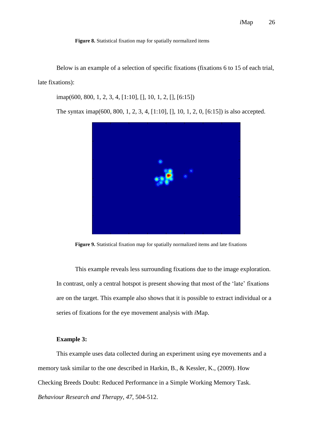**Figure 8.** Statistical fixation map for spatially normalized items

Below is an example of a selection of specific fixations (fixations 6 to 15 of each trial, late fixations):

imap(600, 800, 1, 2, 3, 4, [1:10], [], 10, 1, 2, [], [6:15])

The syntax imap(600, 800, 1, 2, 3, 4, [1:10], [], 10, 1, 2, 0, [6:15]) is also accepted.



**Figure 9.** Statistical fixation map for spatially normalized items and late fixations

This example reveals less surrounding fixations due to the image exploration. In contrast, only a central hotspot is present showing that most of the 'late' fixations are on the target. This example also shows that it is possible to extract individual or a series of fixations for the eye movement analysis with *i*Map.

#### **Example 3:**

This example uses data collected during an experiment using eye movements and a memory task similar to the one described in Harkin, B., & Kessler, K., [\(2009\)](#page-35-10). How Checking Breeds Doubt: Reduced Performance in a Simple Working Memory Task. *Behaviour Research and Therapy*, *47*, 504-512.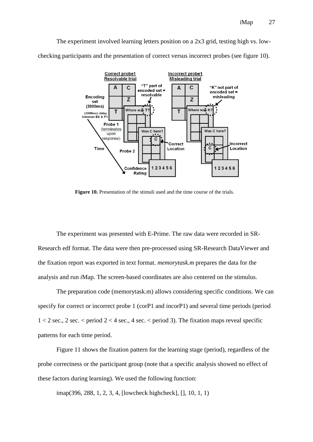The experiment involved learning letters position on a 2x3 grid, testing high vs. lowchecking participants and the presentation of correct versus incorrect probes (see figure 10).



Figure 10. Presentation of the stimuli used and the time course of the trials.

The experiment was presented with E-Prime. The raw data were recorded in SR-Research edf format. The data were then pre-processed using SR-Research DataViewer and the fixation report was exported in text format. *memorytask.m* prepares the data for the analysis and run *i*Map. The screen-based coordinates are also centered on the stimulus.

The preparation code (memorytask.m) allows considering specific conditions. We can specify for correct or incorrect probe 1 (corP1 and incorP1) and several time periods (period  $1 < 2$  sec., 2 sec.  $\lt$  period  $2 < 4$  sec., 4 sec.  $\lt$  period 3). The fixation maps reveal specific patterns for each time period.

Figure 11 shows the fixation pattern for the learning stage (period), regardless of the probe correctness or the participant group (note that a specific analysis showed no effect of these factors during learning). We used the following function:

imap(396, 288, 1, 2, 3, 4, [lowcheck highcheck], [], 10, 1, 1)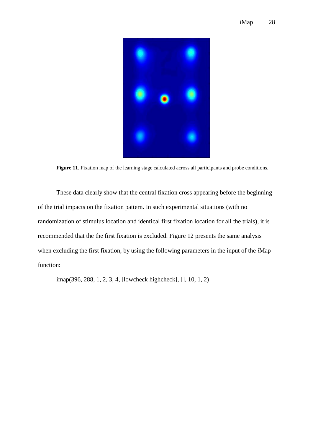

**Figure 11**. Fixation map of the learning stage calculated across all participants and probe conditions.

These data clearly show that the central fixation cross appearing before the beginning of the trial impacts on the fixation pattern. In such experimental situations (with no randomization of stimulus location and identical first fixation location for all the trials), it is recommended that the the first fixation is excluded. Figure 12 presents the same analysis when excluding the first fixation, by using the following parameters in the input of the *i*Map function:

imap(396, 288, 1, 2, 3, 4, [lowcheck highcheck], [], 10, 1, 2)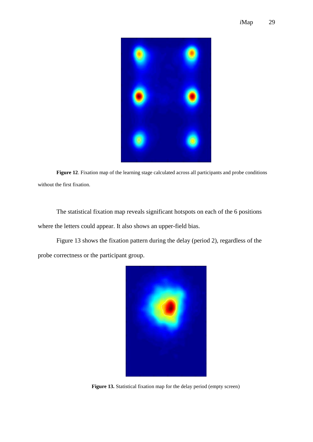

**Figure 12**. Fixation map of the learning stage calculated across all participants and probe conditions without the first fixation.

The statistical fixation map reveals significant hotspots on each of the 6 positions where the letters could appear. It also shows an upper-field bias.

Figure 13 shows the fixation pattern during the delay (period 2), regardless of the probe correctness or the participant group.



**Figure 13.** Statistical fixation map for the delay period (empty screen)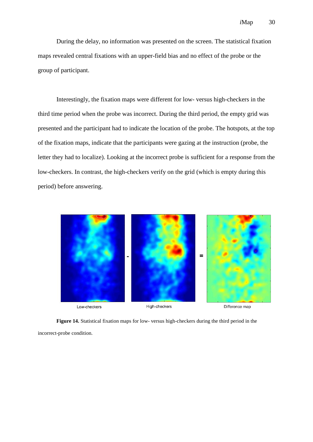During the delay, no information was presented on the screen. The statistical fixation maps revealed central fixations with an upper-field bias and no effect of the probe or the group of participant.

Interestingly, the fixation maps were different for low- versus high-checkers in the third time period when the probe was incorrect. During the third period, the empty grid was presented and the participant had to indicate the location of the probe. The hotspots, at the top of the fixation maps, indicate that the participants were gazing at the instruction (probe, the letter they had to localize). Looking at the incorrect probe is sufficient for a response from the low-checkers. In contrast, the high-checkers verify on the grid (which is empty during this period) before answering.



**Figure 14.** Statistical fixation maps for low- versus high-checkers during the third period in the incorrect-probe condition.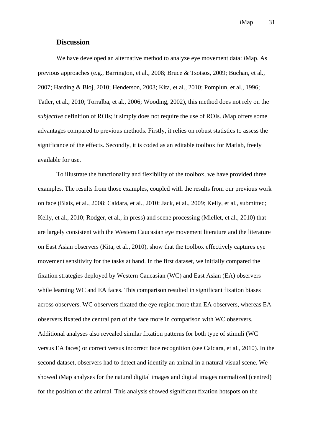# **Discussion**

We have developed an alternative method to analyze eye movement data: *i*Map. As previous approaches (e.g., [Barrington, et al., 2008;](#page-34-2) [Bruce & Tsotsos, 2009;](#page-34-3) [Buchan, et al.,](#page-34-4)  [2007;](#page-34-4) [Harding & Bloj, 2010;](#page-35-3) [Henderson, 2003;](#page-35-4) [Kita, et al., 2010;](#page-36-3) [Pomplun, et al., 1996;](#page-37-4) [Tatler, et al., 2010;](#page-38-2) [Torralba, et al., 2006;](#page-38-3) [Wooding, 2002\)](#page-39-2), this method does not rely on the *subjective* definition of ROIs; it simply does not require the use of ROIs. *i*Map offers some advantages compared to previous methods. Firstly, it relies on robust statistics to assess the significance of the effects. Secondly, it is coded as an editable toolbox for Matlab, freely available for use.

To illustrate the functionality and flexibility of the toolbox, we have provided three examples. The results from those examples, coupled with the results from our previous work on face [\(Blais, et al., 2008;](#page-34-6) [Caldara, et al., 2010;](#page-35-7) [Jack, et al., 2009;](#page-36-7) [Kelly, et al., submitted;](#page-36-8) [Kelly, et al., 2010;](#page-36-9) [Rodger, et al., in press\)](#page-37-8) and scene processing [\(Miellet, et al., 2010\)](#page-37-3) that are largely consistent with the Western Caucasian eye movement literature and the literature on East Asian observers [\(Kita, et al., 2010\)](#page-36-3), show that the toolbox effectively captures eye movement sensitivity for the tasks at hand. In the first dataset, we initially compared the fixation strategies deployed by Western Caucasian (WC) and East Asian (EA) observers while learning WC and EA faces. This comparison resulted in significant fixation biases across observers. WC observers fixated the eye region more than EA observers, whereas EA observers fixated the central part of the face more in comparison with WC observers. Additional analyses also revealed similar fixation patterns for both type of stimuli (WC versus EA faces) or correct versus incorrect face recognition [\(see Caldara, et al., 2010\)](#page-35-7). In the second dataset, observers had to detect and identify an animal in a natural visual scene. We showed *i*Map analyses for the natural digital images and digital images normalized (centred) for the position of the animal. This analysis showed significant fixation hotspots on the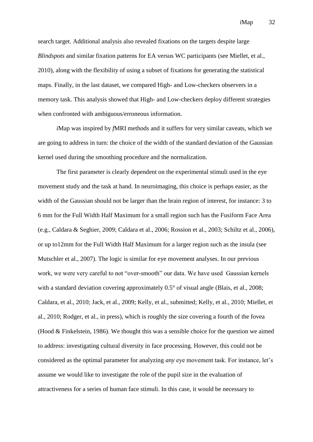search target. Additional analysis also revealed fixations on the targets despite large *Blindspots* and similar fixation patterns for EA versus WC participants [\(see Miellet, et al.,](#page-37-3)  [2010\)](#page-37-3), along with the flexibility of using a subset of fixations for generating the statistical maps. Finally, in the last dataset, we compared High- and Low-checkers observers in a memory task. This analysis showed that High- and Low-checkers deploy different strategies when confronted with ambiguous/erroneous information.

*i*Map was inspired by *f*MRI methods and it suffers for very similar caveats, which we are going to address in turn: the choice of the width of the standard deviation of the Gaussian kernel used during the smoothing procedure and the normalization.

The first parameter is clearly dependent on the experimental stimuli used in the eye movement study and the task at hand. In neuroimaging, this choice is perhaps easier, as the width of the Gaussian should not be larger than the brain region of interest, for instance: 3 to 6 mm for the Full Width Half Maximum for a small region such has the Fusiform Face Area (e.g., [Caldara & Seghier, 2009;](#page-34-8) [Caldara et al., 2006;](#page-34-9) [Rossion et al., 2003;](#page-38-7) [Schiltz et al., 2006\)](#page-38-8), or up to12mm for the Full Width Half Maximum for a larger region such as the insula [\(see](#page-37-9)  [Mutschler et al., 2007\)](#page-37-9). The logic is similar for eye movement analyses. In our previous work, we were very careful to not "over-smooth" our data. We have used Gaussian kernels with a standard deviation covering approximately 0.5° of visual angle (Blais, et [al., 2008;](#page-34-6) [Caldara, et al., 2010;](#page-35-7) [Jack, et al., 2009;](#page-36-7) [Kelly, et al., submitted;](#page-36-8) [Kelly, et al., 2010;](#page-36-9) [Miellet, et](#page-37-3)  [al., 2010;](#page-37-3) [Rodger, et al., in press\)](#page-37-8), which is roughly the size covering a fourth of the fovea [\(Hood & Finkelstein, 1986\)](#page-35-11). We thought this was a sensible choice for the question we aimed to address: investigating cultural diversity in face processing. However, this could not be considered as the optimal parameter for analyzing *any* eye movement task. For instance, let's assume we would like to investigate the role of the pupil size in the evaluation of attractiveness for a series of human face stimuli. In this case, it would be necessary to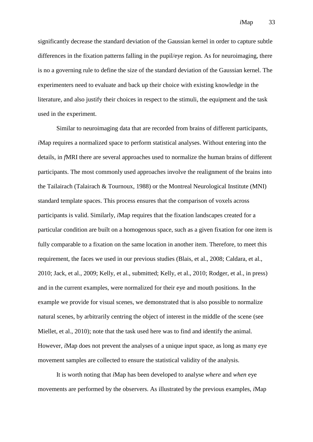significantly decrease the standard deviation of the Gaussian kernel in order to capture subtle differences in the fixation patterns falling in the pupil/eye region. As for neuroimaging, there is no a governing rule to define the size of the standard deviation of the Gaussian kernel. The experimenters need to evaluate and back up their choice with existing knowledge in the literature, and also justify their choices in respect to the stimuli, the equipment and the task used in the experiment.

Similar to neuroimaging data that are recorded from brains of different participants, *i*Map requires a normalized space to perform statistical analyses. Without entering into the details, in *f*MRI there are several approaches used to normalize the human brains of different participants. The most commonly used approaches involve the realignment of the brains into the Tailairach [\(Talairach & Tournoux, 1988\)](#page-38-9) or the Montreal Neurological Institute (MNI) standard template spaces. This process ensures that the comparison of voxels across participants is valid. Similarly, *i*Map requires that the fixation landscapes created for a particular condition are built on a homogenous space, such as a given fixation for one item is fully comparable to a fixation on the same location in another item. Therefore, to meet this requirement, the faces we used in our previous studies [\(Blais, et al., 2008;](#page-34-6) [Caldara, et al.,](#page-35-7)  [2010;](#page-35-7) [Jack, et al., 2009;](#page-36-7) Kelly, [et al., submitted;](#page-36-8) [Kelly, et al., 2010;](#page-36-9) [Rodger, et al., in press\)](#page-37-8) and in the current examples, were normalized for their eye and mouth positions. In the example we provide for visual scenes, we demonstrated that is also possible to normalize natural scenes, by arbitrarily centring the object of interest in the middle of the scene [\(see](#page-37-3)  [Miellet, et al., 2010\)](#page-37-3); note that the task used here was to find and identify the animal. However, *i*Map does not prevent the analyses of a unique input space, as long as many eye movement samples are collected to ensure the statistical validity of the analysis.

It is worth noting that *i*Map has been developed to analyse *where* and *when* eye movements are performed by the observers. As illustrated by the previous examples, *i*Map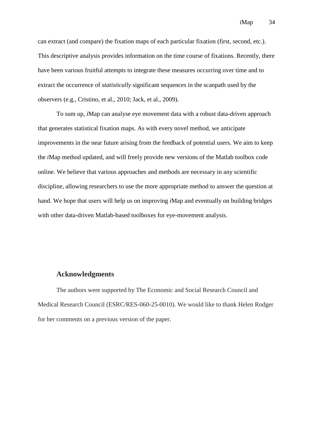can extract (and compare) the fixation maps of each particular fixation (first, second, etc.). This descriptive analysis provides information on the time course of fixations. Recently, there have been various fruitful attempts to integrate these measures occurring over time and to extract the occurrence of *statistically* significant sequences in the scanpath used by the observers (e.g., [Cristino, et al., 2010;](#page-35-5) [Jack, et al., 2009\)](#page-36-7).

To sum up, *i*Map can analyse eye movement data with a robust data-driven approach that generates statistical fixation maps. As with every novel method, we anticipate improvements in the near future arising from the feedback of potential users. We aim to keep the *i*Map method updated, and will freely provide new versions of the Matlab toolbox code online. We believe that various approaches and methods are necessary in any scientific discipline, allowing researchers to use the more appropriate method to answer the question at hand. We hope that users will help us on improving *i*Map and eventually on building bridges with other data-driven Matlab-based toolboxes for eye-movement analysis.

## **Acknowledgments**

The authors were supported by The Economic and Social Research Council and Medical Research Council (ESRC/RES-060-25-0010). We would like to thank Helen Rodger for her comments on a previous version of the paper.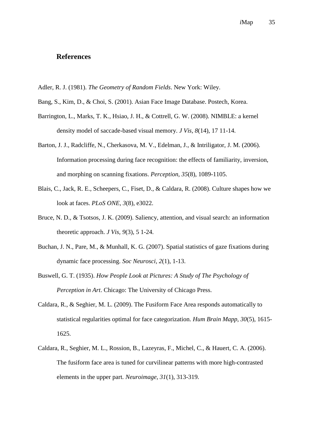# **References**

- <span id="page-34-5"></span>Adler, R. J. (1981). *The Geometry of Random Fields*. New York: Wiley.
- <span id="page-34-7"></span>Bang, S., Kim, D., & Choi, S. (2001). Asian Face Image Database. Postech, Korea.
- <span id="page-34-2"></span>Barrington, L., Marks, T. K., Hsiao, J. H., & Cottrell, G. W. (2008). NIMBLE: a kernel density model of saccade-based visual memory. *J Vis, 8*(14), 17 11-14.
- <span id="page-34-1"></span>Barton, J. J., Radcliffe, N., Cherkasova, M. V., Edelman, J., & Intriligator, J. M. (2006). Information processing during face recognition: the effects of familiarity, inversion, and morphing on scanning fixations. *Perception, 35*(8), 1089-1105.
- <span id="page-34-6"></span>Blais, C., Jack, R. E., Scheepers, C., Fiset, D., & Caldara, R. (2008). Culture shapes how we look at faces. *PLoS ONE, 3*(8), e3022.
- <span id="page-34-3"></span>Bruce, N. D., & Tsotsos, J. K. (2009). Saliency, attention, and visual search: an information theoretic approach. *J Vis, 9*(3), 5 1-24.
- <span id="page-34-4"></span>Buchan, J. N., Pare, M., & Munhall, K. G. (2007). Spatial statistics of gaze fixations during dynamic face processing. *Soc Neurosci, 2*(1), 1-13.
- <span id="page-34-0"></span>Buswell, G. T. (1935). *How People Look at Pictures: A Study of The Psychology of Perception in Art*. Chicago: The University of Chicago Press.
- <span id="page-34-8"></span>Caldara, R., & Seghier, M. L. (2009). The Fusiform Face Area responds automatically to statistical regularities optimal for face categorization. *Hum Brain Mapp, 30*(5), 1615- 1625.
- <span id="page-34-9"></span>Caldara, R., Seghier, M. L., Rossion, B., Lazeyras, F., Michel, C., & Hauert, C. A. (2006). The fusiform face area is tuned for curvilinear patterns with more high-contrasted elements in the upper part. *Neuroimage, 31*(1), 313-319.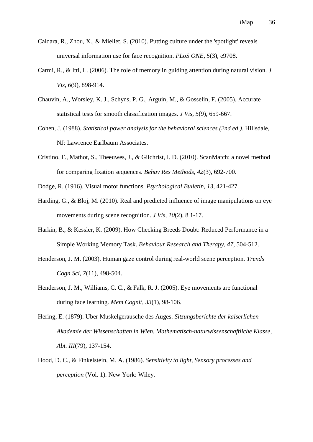- <span id="page-35-7"></span>Caldara, R., Zhou, X., & Miellet, S. (2010). Putting culture under the 'spotlight' reveals universal information use for face recognition. *PLoS ONE, 5*(3), e9708.
- <span id="page-35-6"></span>Carmi, R., & Itti, L. (2006). The role of memory in guiding attention during natural vision. *J Vis, 6*(9), 898-914.
- <span id="page-35-8"></span>Chauvin, A., Worsley, K. J., Schyns, P. G., Arguin, M., & Gosselin, F. (2005). Accurate statistical tests for smooth classification images. *J Vis, 5*(9), 659-667.
- <span id="page-35-9"></span>Cohen, J. (1988). *Statistical power analysis for the behavioral sciences (2nd ed.)*. Hillsdale, NJ: Lawrence Earlbaum Associates.
- <span id="page-35-5"></span>Cristino, F., Mathot, S., Theeuwes, J., & Gilchrist, I. D. (2010). ScanMatch: a novel method for comparing fixation sequences. *Behav Res Methods, 42*(3), 692-700.
- <span id="page-35-1"></span>Dodge, R. (1916). Visual motor functions. *Psychological Bulletin, 13*, 421-427.
- <span id="page-35-3"></span>Harding, G., & Bloj, M. (2010). Real and predicted influence of image manipulations on eye movements during scene recognition. *J Vis, 10*(2), 8 1-17.
- <span id="page-35-10"></span>Harkin, B., & Kessler, K. (2009). How Checking Breeds Doubt: Reduced Performance in a Simple Working Memory Task. *Behaviour Research and Therapy, 47*, 504-512.
- <span id="page-35-4"></span>Henderson, J. M. (2003). Human gaze control during real-world scene perception. *Trends Cogn Sci, 7*(11), 498-504.
- <span id="page-35-2"></span>Henderson, J. M., Williams, C. C., & Falk, R. J. (2005). Eye movements are functional during face learning. *Mem Cognit, 33*(1), 98-106.
- <span id="page-35-0"></span>Hering, E. (1879). Uber Muskelgerausche des Auges. *Sitzungsberichte der kaiserlichen Akademie der Wissenschaften in Wien. Mathematisch-naturwissenschaftliche Klasse, Abt. III*(79), 137-154.
- <span id="page-35-11"></span>Hood, D. C., & Finkelstein, M. A. (1986). *Sensitivity to light, Sensory processes and perception* (Vol. 1). New York: Wiley.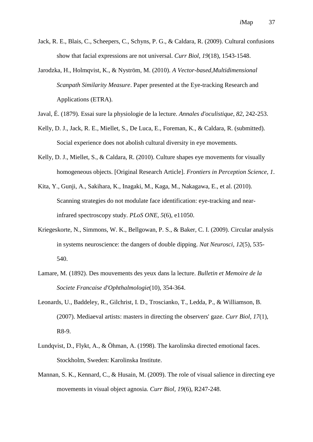- <span id="page-36-7"></span>Jack, R. E., Blais, C., Scheepers, C., Schyns, P. G., & Caldara, R. (2009). Cultural confusions show that facial expressions are not universal. *Curr Biol, 19*(18), 1543-1548.
- <span id="page-36-5"></span>Jarodzka, H., Holmqvist, K., & Nyström, M. (2010). *A Vector-based,Multidimensional Scanpath Similarity Measure*. Paper presented at the Eye-tracking Research and Applications (ETRA).
- <span id="page-36-0"></span>Javal, É. (1879). Essai sure la physiologie de la lecture. *Annales d'oculistique, 82*, 242-253.
- <span id="page-36-8"></span>Kelly, D. J., Jack, R. E., Miellet, S., De Luca, E., Foreman, K., & Caldara, R. (submitted). Social experience does not abolish cultural diversity in eye movements.
- <span id="page-36-9"></span>Kelly, D. J., Miellet, S., & Caldara, R. (2010). Culture shapes eye movements for visually homogeneous objects. [Original Research Article]. *Frontiers in Perception Science, 1*.
- <span id="page-36-3"></span>Kita, Y., Gunji, A., Sakihara, K., Inagaki, M., Kaga, M., Nakagawa, E., et al. (2010). Scanning strategies do not modulate face identification: eye-tracking and nearinfrared spectroscopy study. *PLoS ONE, 5*(6), e11050.
- <span id="page-36-2"></span>Kriegeskorte, N., Simmons, W. K., Bellgowan, P. S., & Baker, C. I. (2009). Circular analysis in systems neuroscience: the dangers of double dipping. *Nat Neurosci, 12*(5), 535- 540.
- <span id="page-36-1"></span>Lamare, M. (1892). Des mouvements des yeux dans la lecture. *Bulletin et Memoire de la Societe Francaise d'Ophthalmologie*(10), 354-364.
- <span id="page-36-4"></span>Leonards, U., Baddeley, R., Gilchrist, I. D., Troscianko, T., Ledda, P., & Williamson, B. (2007). Mediaeval artists: masters in directing the observers' gaze. *Curr Biol, 17*(1), R8-9.
- <span id="page-36-10"></span>Lundqvist, D., Flykt, A., & Öhman, A. (1998). The karolinska directed emotional faces. Stockholm, Sweden: Karolinska Institute.
- <span id="page-36-6"></span>Mannan, S. K., Kennard, C., & Husain, M. (2009). The role of visual salience in directing eye movements in visual object agnosia. *Curr Biol, 19*(6), R247-248.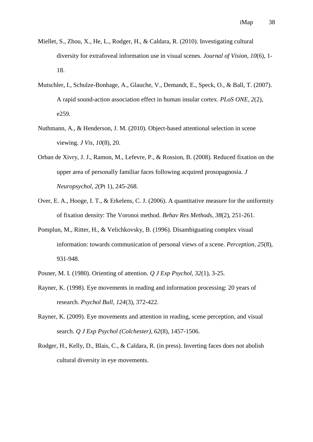- <span id="page-37-3"></span>Miellet, S., Zhou, X., He, L., Rodger, H., & Caldara, R. (2010). Investigating cultural diversity for extrafoveal information use in visual scenes. *Journal of Vision, 10*(6), 1- 18.
- <span id="page-37-9"></span>Mutschler, I., Schulze-Bonhage, A., Glauche, V., Demandt, E., Speck, O., & Ball, T. (2007). A rapid sound-action association effect in human insular cortex. *PLoS ONE, 2*(2), e259.
- <span id="page-37-5"></span>Nuthmann, A., & Henderson, J. M. (2010). Object-based attentional selection in scene viewing. *J Vis, 10*(8), 20.
- <span id="page-37-2"></span>Orban de Xivry, J. J., Ramon, M., Lefevre, P., & Rossion, B. (2008). Reduced fixation on the upper area of personally familiar faces following acquired prosopagnosia. *J Neuropsychol, 2*(Pt 1), 245-268.
- <span id="page-37-6"></span>Over, E. A., Hooge, I. T., & Erkelens, C. J. (2006). A quantitative measure for the uniformity of fixation density: The Voronoi method. *Behav Res Methods, 38*(2), 251-261.
- <span id="page-37-4"></span>Pomplun, M., Ritter, H., & Velichkovsky, B. (1996). Disambiguating complex visual information: towards communication of personal views of a scene. *Perception, 25*(8), 931-948.
- <span id="page-37-7"></span>Posner, M. I. (1980). Orienting of attention. *Q J Exp Psychol, 32*(1), 3-25.
- <span id="page-37-0"></span>Rayner, K. (1998). Eye movements in reading and information processing: 20 years of research. *Psychol Bull, 124*(3), 372-422.
- <span id="page-37-1"></span>Rayner, K. (2009). Eye movements and attention in reading, scene perception, and visual search. *Q J Exp Psychol (Colchester), 62*(8), 1457-1506.
- <span id="page-37-8"></span>Rodger, H., Kelly, D., Blais, C., & Caldara, R. (in press). Inverting faces does not abolish cultural diversity in eye movements.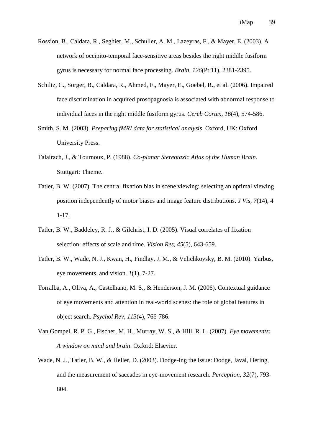- <span id="page-38-7"></span>Rossion, B., Caldara, R., Seghier, M., Schuller, A. M., Lazeyras, F., & Mayer, E. (2003). A network of occipito-temporal face-sensitive areas besides the right middle fusiform gyrus is necessary for normal face processing. *Brain, 126*(Pt 11), 2381-2395.
- <span id="page-38-8"></span>Schiltz, C., Sorger, B., Caldara, R., Ahmed, F., Mayer, E., Goebel, R., et al. (2006). Impaired face discrimination in acquired prosopagnosia is associated with abnormal response to individual faces in the right middle fusiform gyrus. *Cereb Cortex, 16*(4), 574-586.
- <span id="page-38-6"></span>Smith, S. M. (2003). *Preparing fMRI data for statistical analysis*. Oxford, UK: Oxford University Press.
- <span id="page-38-9"></span>Talairach, J., & Tournoux, P. (1988). *Co-planar Stereotaxic Atlas of the Human Brain*. Stuttgart: Thieme.
- <span id="page-38-5"></span>Tatler, B. W. (2007). The central fixation bias in scene viewing: selecting an optimal viewing position independently of motor biases and image feature distributions. *J Vis, 7*(14), 4 1-17.
- <span id="page-38-4"></span>Tatler, B. W., Baddeley, R. J., & Gilchrist, I. D. (2005). Visual correlates of fixation selection: effects of scale and time. *Vision Res, 45*(5), 643-659.
- <span id="page-38-2"></span>Tatler, B. W., Wade, N. J., Kwan, H., Findlay, J. M., & Velichkovsky, B. M. (2010). Yarbus, eye movements, and vision. *1*(1), 7-27.
- <span id="page-38-3"></span>Torralba, A., Oliva, A., Castelhano, M. S., & Henderson, J. M. (2006). Contextual guidance of eye movements and attention in real-world scenes: the role of global features in object search. *Psychol Rev, 113*(4), 766-786.
- <span id="page-38-1"></span>Van Gompel, R. P. G., Fischer, M. H., Murray, W. S., & Hill, R. L. (2007). *Eye movements: A window on mind and brain*. Oxford: Elsevier.
- <span id="page-38-0"></span>Wade, N. J., Tatler, B. W., & Heller, D. (2003). Dodge-ing the issue: Dodge, Javal, Hering, and the measurement of saccades in eye-movement research. *Perception, 32*(7), 793- 804.